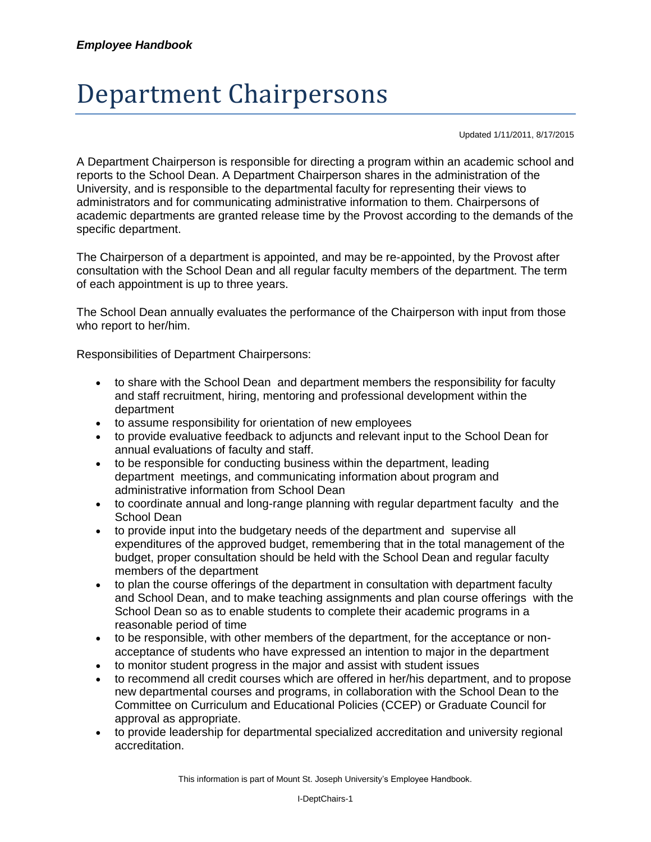## Department Chairpersons

Updated 1/11/2011, 8/17/2015

A Department Chairperson is responsible for directing a program within an academic school and reports to the School Dean. A Department Chairperson shares in the administration of the University, and is responsible to the departmental faculty for representing their views to administrators and for communicating administrative information to them. Chairpersons of academic departments are granted release time by the Provost according to the demands of the specific department.

The Chairperson of a department is appointed, and may be re-appointed, by the Provost after consultation with the School Dean and all regular faculty members of the department. The term of each appointment is up to three years.

The School Dean annually evaluates the performance of the Chairperson with input from those who report to her/him.

Responsibilities of Department Chairpersons:

- to share with the School Dean and department members the responsibility for faculty and staff recruitment, hiring, mentoring and professional development within the department
- to assume responsibility for orientation of new employees
- to provide evaluative feedback to adjuncts and relevant input to the School Dean for annual evaluations of faculty and staff.
- to be responsible for conducting business within the department, leading department meetings, and communicating information about program and administrative information from School Dean
- to coordinate annual and long-range planning with regular department faculty and the School Dean
- to provide input into the budgetary needs of the department and supervise all expenditures of the approved budget, remembering that in the total management of the budget, proper consultation should be held with the School Dean and regular faculty members of the department
- to plan the course offerings of the department in consultation with department faculty and School Dean, and to make teaching assignments and plan course offerings with the School Dean so as to enable students to complete their academic programs in a reasonable period of time
- to be responsible, with other members of the department, for the acceptance or nonacceptance of students who have expressed an intention to major in the department
- to monitor student progress in the major and assist with student issues
- to recommend all credit courses which are offered in her/his department, and to propose new departmental courses and programs, in collaboration with the School Dean to the Committee on Curriculum and Educational Policies (CCEP) or Graduate Council for approval as appropriate.
- to provide leadership for departmental specialized accreditation and university regional accreditation.